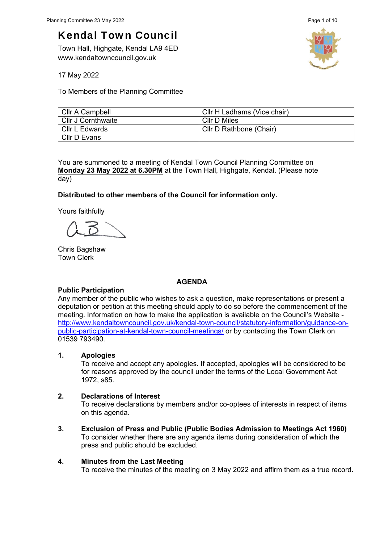Town Hall, Highgate, Kendal LA9 4ED www.kendaltowncouncil.gov.uk



17 May 2022

To Members of the Planning Committee

| Cllr A Campbell           | CIIr H Ladhams (Vice chair) |
|---------------------------|-----------------------------|
| <b>Cllr J Cornthwaite</b> | Cllr D Miles                |
| CIIr L Edwards            | Cllr D Rathbone (Chair)     |
| Cllr D Evans              |                             |

You are summoned to a meeting of Kendal Town Council Planning Committee on **Monday 23 May 2022 at 6.30PM** at the Town Hall, Highgate, Kendal. (Please note day)

### **Distributed to other members of the Council for information only.**

Yours faithfully

Chris Bagshaw Town Clerk

#### **AGENDA**

### **Public Participation**

Any member of the public who wishes to ask a question, make representations or present a deputation or petition at this meeting should apply to do so before the commencement of the meeting. Information on how to make the application is available on the Council's Website http://www.kendaltowncouncil.gov.uk/kendal-town-council/statutory-information/guidance-onpublic-participation-at-kendal-town-council-meetings/ or by contacting the Town Clerk on 01539 793490.

#### **1. Apologies**

To receive and accept any apologies. If accepted, apologies will be considered to be for reasons approved by the council under the terms of the Local Government Act 1972, s85.

#### **2. Declarations of Interest**

To receive declarations by members and/or co-optees of interests in respect of items on this agenda.

**3. Exclusion of Press and Public (Public Bodies Admission to Meetings Act 1960)**  To consider whether there are any agenda items during consideration of which the press and public should be excluded.

### **4. Minutes from the Last Meeting**

To receive the minutes of the meeting on 3 May 2022 and affirm them as a true record.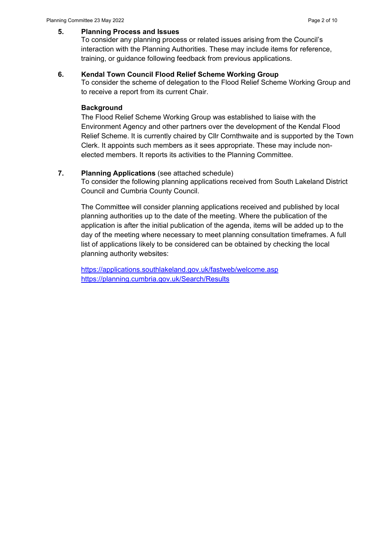#### **5. Planning Process and Issues**

To consider any planning process or related issues arising from the Council's interaction with the Planning Authorities. These may include items for reference, training, or guidance following feedback from previous applications.

#### **6. Kendal Town Council Flood Relief Scheme Working Group**

To consider the scheme of delegation to the Flood Relief Scheme Working Group and to receive a report from its current Chair.

### **Background**

The Flood Relief Scheme Working Group was established to liaise with the Environment Agency and other partners over the development of the Kendal Flood Relief Scheme. It is currently chaired by Cllr Cornthwaite and is supported by the Town Clerk. It appoints such members as it sees appropriate. These may include nonelected members. It reports its activities to the Planning Committee.

# **7. Planning Applications** (see attached schedule)

To consider the following planning applications received from South Lakeland District Council and Cumbria County Council.

The Committee will consider planning applications received and published by local planning authorities up to the date of the meeting. Where the publication of the application is after the initial publication of the agenda, items will be added up to the day of the meeting where necessary to meet planning consultation timeframes. A full list of applications likely to be considered can be obtained by checking the local planning authority websites:

https://applications.southlakeland.gov.uk/fastweb/welcome.asp https://planning.cumbria.gov.uk/Search/Results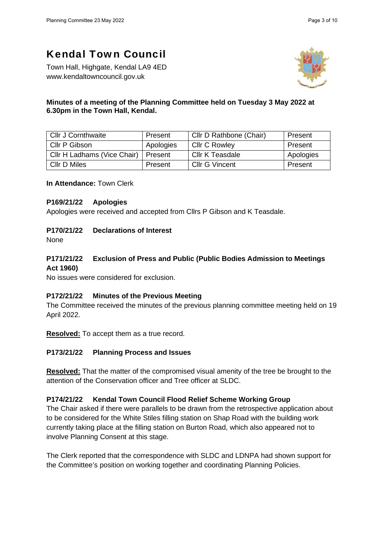Town Hall, Highgate, Kendal LA9 4ED www.kendaltowncouncil.gov.uk



# **Minutes of a meeting of the Planning Committee held on Tuesday 3 May 2022 at 6.30pm in the Town Hall, Kendal.**

| <b>Cllr J Cornthwaite</b>   | Present   | Cllr D Rathbone (Chair) | Present   |
|-----------------------------|-----------|-------------------------|-----------|
| Cllr P Gibson               | Apologies | <b>Cllr C Rowley</b>    | Present   |
| Cllr H Ladhams (Vice Chair) | Present   | Cllr K Teasdale         | Apologies |
| Cllr D Miles                | Present   | <b>Cllr G Vincent</b>   | Present   |

**In Attendance:** Town Clerk

#### **P169/21/22 Apologies**

Apologies were received and accepted from Cllrs P Gibson and K Teasdale.

## **P170/21/22 Declarations of Interest**

None

# **P171/21/22 Exclusion of Press and Public (Public Bodies Admission to Meetings Act 1960)**

No issues were considered for exclusion.

### **P172/21/22 Minutes of the Previous Meeting**

The Committee received the minutes of the previous planning committee meeting held on 19 April 2022.

**Resolved:** To accept them as a true record.

### **P173/21/22 Planning Process and Issues**

**Resolved:** That the matter of the compromised visual amenity of the tree be brought to the attention of the Conservation officer and Tree officer at SLDC.

### **P174/21/22 Kendal Town Council Flood Relief Scheme Working Group**

The Chair asked if there were parallels to be drawn from the retrospective application about to be considered for the White Stiles filling station on Shap Road with the building work currently taking place at the filling station on Burton Road, which also appeared not to involve Planning Consent at this stage.

The Clerk reported that the correspondence with SLDC and LDNPA had shown support for the Committee's position on working together and coordinating Planning Policies.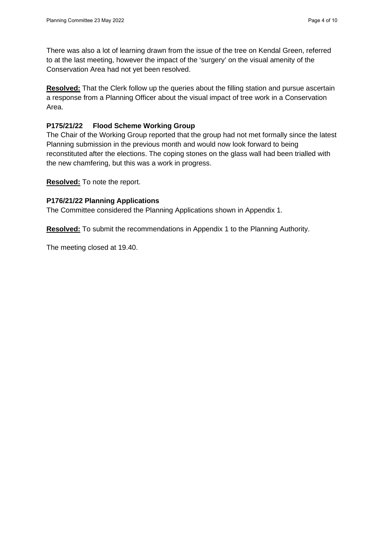There was also a lot of learning drawn from the issue of the tree on Kendal Green, referred to at the last meeting, however the impact of the 'surgery' on the visual amenity of the Conservation Area had not yet been resolved.

**Resolved:** That the Clerk follow up the queries about the filling station and pursue ascertain a response from a Planning Officer about the visual impact of tree work in a Conservation Area.

# **P175/21/22 Flood Scheme Working Group**

The Chair of the Working Group reported that the group had not met formally since the latest Planning submission in the previous month and would now look forward to being reconstituted after the elections. The coping stones on the glass wall had been trialled with the new chamfering, but this was a work in progress.

**Resolved:** To note the report.

### **P176/21/22 Planning Applications**

The Committee considered the Planning Applications shown in Appendix 1.

**Resolved:** To submit the recommendations in Appendix 1 to the Planning Authority.

The meeting closed at 19.40.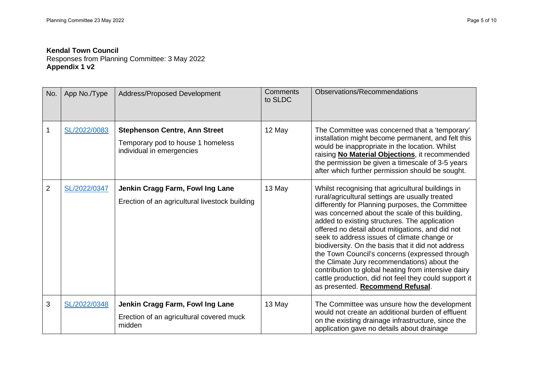Responses from Planning Committee: 3 May 2022 **Appendix 1 v2**

| No.            | App No./Type | Address/Proposed Development                                                                           | Comments<br>to SLDC | Observations/Recommendations                                                                                                                                                                                                                                                                                                                                                                                                                                                                                                                                                                                                                                               |
|----------------|--------------|--------------------------------------------------------------------------------------------------------|---------------------|----------------------------------------------------------------------------------------------------------------------------------------------------------------------------------------------------------------------------------------------------------------------------------------------------------------------------------------------------------------------------------------------------------------------------------------------------------------------------------------------------------------------------------------------------------------------------------------------------------------------------------------------------------------------------|
|                | SL/2022/0083 | <b>Stephenson Centre, Ann Street</b><br>Temporary pod to house 1 homeless<br>individual in emergencies | 12 May              | The Committee was concerned that a 'temporary'<br>installation might become permanent, and felt this<br>would be inappropriate in the location. Whilst<br>raising No Material Objections, it recommended<br>the permission be given a timescale of 3-5 years<br>after which further permission should be sought.                                                                                                                                                                                                                                                                                                                                                           |
| $\overline{2}$ | SL/2022/0347 | Jenkin Cragg Farm, Fowl Ing Lane<br>Erection of an agricultural livestock building                     | 13 May              | Whilst recognising that agricultural buildings in<br>rural/agricultural settings are usually treated<br>differently for Planning purposes, the Committee<br>was concerned about the scale of this building,<br>added to existing structures. The application<br>offered no detail about mitigations, and did not<br>seek to address issues of climate change or<br>biodiversity. On the basis that it did not address<br>the Town Council's concerns (expressed through<br>the Climate Jury recommendations) about the<br>contribution to global heating from intensive dairy<br>cattle production, did not feel they could support it<br>as presented. Recommend Refusal. |
| 3              | SL/2022/0348 | Jenkin Cragg Farm, Fowl Ing Lane<br>Erection of an agricultural covered muck<br>midden                 | 13 May              | The Committee was unsure how the development<br>would not create an additional burden of effluent<br>on the existing drainage infrastructure, since the<br>application gave no details about drainage                                                                                                                                                                                                                                                                                                                                                                                                                                                                      |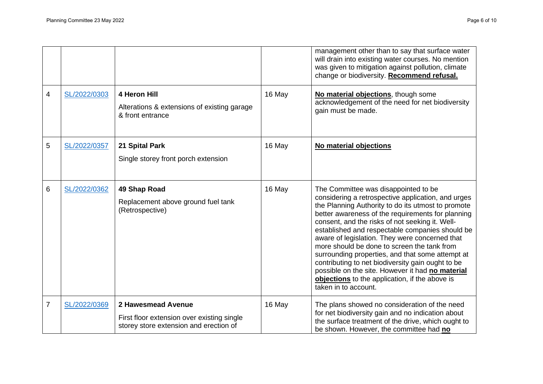|                |              |                                                                                                            |        | management other than to say that surface water<br>will drain into existing water courses. No mention<br>was given to mitigation against pollution, climate<br>change or biodiversity. Recommend refusal.                                                                                                                                                                                                                                                                                                                                                                                                                                           |
|----------------|--------------|------------------------------------------------------------------------------------------------------------|--------|-----------------------------------------------------------------------------------------------------------------------------------------------------------------------------------------------------------------------------------------------------------------------------------------------------------------------------------------------------------------------------------------------------------------------------------------------------------------------------------------------------------------------------------------------------------------------------------------------------------------------------------------------------|
| $\overline{4}$ | SL/2022/0303 | 4 Heron Hill<br>Alterations & extensions of existing garage<br>& front entrance                            | 16 May | No material objections, though some<br>acknowledgement of the need for net biodiversity<br>gain must be made.                                                                                                                                                                                                                                                                                                                                                                                                                                                                                                                                       |
| 5              | SL/2022/0357 | 21 Spital Park<br>Single storey front porch extension                                                      | 16 May | No material objections                                                                                                                                                                                                                                                                                                                                                                                                                                                                                                                                                                                                                              |
| 6              | SL/2022/0362 | 49 Shap Road<br>Replacement above ground fuel tank<br>(Retrospective)                                      | 16 May | The Committee was disappointed to be<br>considering a retrospective application, and urges<br>the Planning Authority to do its utmost to promote<br>better awareness of the requirements for planning<br>consent, and the risks of not seeking it. Well-<br>established and respectable companies should be<br>aware of legislation. They were concerned that<br>more should be done to screen the tank from<br>surrounding properties, and that some attempt at<br>contributing to net biodiversity gain ought to be<br>possible on the site. However it had no material<br>objections to the application, if the above is<br>taken in to account. |
| $\overline{7}$ | SL/2022/0369 | 2 Hawesmead Avenue<br>First floor extension over existing single<br>storey store extension and erection of | 16 May | The plans showed no consideration of the need<br>for net biodiversity gain and no indication about<br>the surface treatment of the drive, which ought to<br>be shown. However, the committee had no                                                                                                                                                                                                                                                                                                                                                                                                                                                 |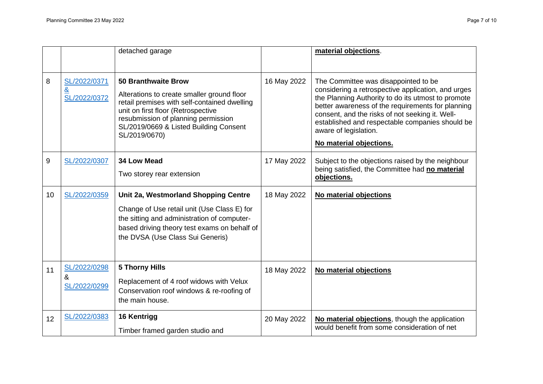|    |                                              | detached garage                                                                                                                                                                                                                                                  |             | material objections.                                                                                                                                                                                                                                                                                                                                            |
|----|----------------------------------------------|------------------------------------------------------------------------------------------------------------------------------------------------------------------------------------------------------------------------------------------------------------------|-------------|-----------------------------------------------------------------------------------------------------------------------------------------------------------------------------------------------------------------------------------------------------------------------------------------------------------------------------------------------------------------|
| 8  | SL/2022/0371<br><u>&amp;</u><br>SL/2022/0372 | <b>50 Branthwaite Brow</b><br>Alterations to create smaller ground floor<br>retail premises with self-contained dwelling<br>unit on first floor (Retrospective<br>resubmission of planning permission<br>SL/2019/0669 & Listed Building Consent<br>SL/2019/0670) | 16 May 2022 | The Committee was disappointed to be<br>considering a retrospective application, and urges<br>the Planning Authority to do its utmost to promote<br>better awareness of the requirements for planning<br>consent, and the risks of not seeking it. Well-<br>established and respectable companies should be<br>aware of legislation.<br>No material objections. |
| 9  | SL/2022/0307                                 | <b>34 Low Mead</b><br>Two storey rear extension                                                                                                                                                                                                                  | 17 May 2022 | Subject to the objections raised by the neighbour<br>being satisfied, the Committee had no material<br>objections.                                                                                                                                                                                                                                              |
| 10 | SL/2022/0359                                 | Unit 2a, Westmorland Shopping Centre<br>Change of Use retail unit (Use Class E) for<br>the sitting and administration of computer-<br>based driving theory test exams on behalf of<br>the DVSA (Use Class Sui Generis)                                           | 18 May 2022 | No material objections                                                                                                                                                                                                                                                                                                                                          |
| 11 | SL/2022/0298<br>&<br>SL/2022/0299            | <b>5 Thorny Hills</b><br>Replacement of 4 roof widows with Velux<br>Conservation roof windows & re-roofing of<br>the main house.                                                                                                                                 | 18 May 2022 | No material objections                                                                                                                                                                                                                                                                                                                                          |
| 12 | SL/2022/0383                                 | 16 Kentrigg<br>Timber framed garden studio and                                                                                                                                                                                                                   | 20 May 2022 | No material objections, though the application<br>would benefit from some consideration of net                                                                                                                                                                                                                                                                  |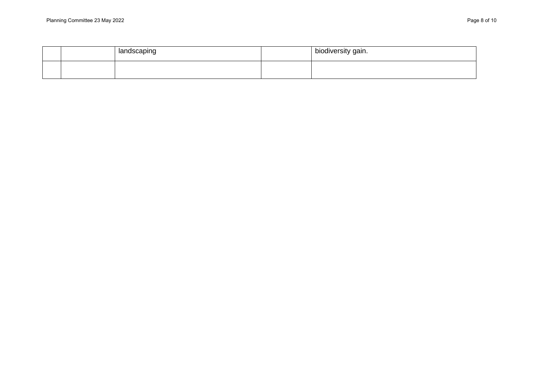|  | landscaping | biodiversity gain. |
|--|-------------|--------------------|
|  |             |                    |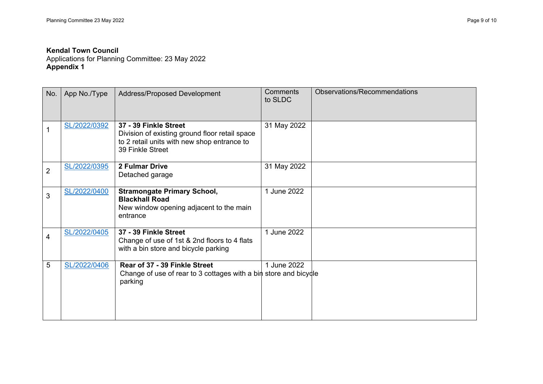Applications for Planning Committee: 23 May 2022 **Appendix 1** 

| No.            | App No./Type | Address/Proposed Development                                                                                                               | <b>Comments</b><br>to SLDC | Observations/Recommendations |
|----------------|--------------|--------------------------------------------------------------------------------------------------------------------------------------------|----------------------------|------------------------------|
| 1              | SL/2022/0392 | 37 - 39 Finkle Street<br>Division of existing ground floor retail space<br>to 2 retail units with new shop entrance to<br>39 Finkle Street | 31 May 2022                |                              |
| $\overline{2}$ | SL/2022/0395 | 2 Fulmar Drive<br>Detached garage                                                                                                          | 31 May 2022                |                              |
| 3              | SL/2022/0400 | <b>Stramongate Primary School,</b><br><b>Blackhall Road</b><br>New window opening adjacent to the main<br>entrance                         | 1 June 2022                |                              |
| 4              | SL/2022/0405 | 37 - 39 Finkle Street<br>Change of use of 1st & 2nd floors to 4 flats<br>with a bin store and bicycle parking                              | 1 June 2022                |                              |
| 5              | SL/2022/0406 | Rear of 37 - 39 Finkle Street<br>Change of use of rear to 3 cottages with a bin store and bicycle<br>parking                               | 1 June 2022                |                              |